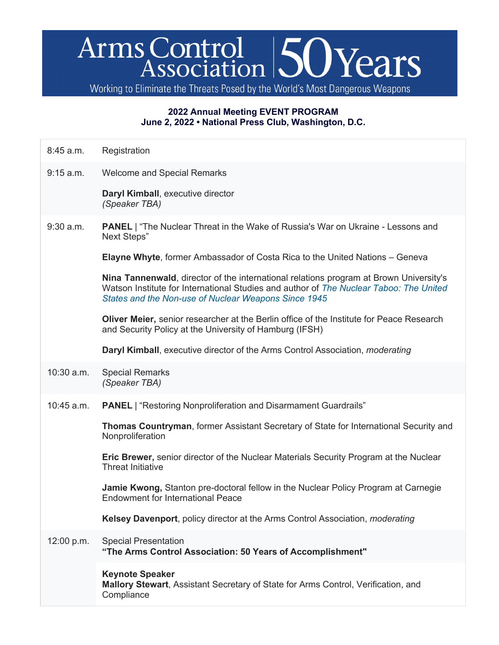## Arms Control 50 Years

Working to Eliminate the Threats Posed by the World's Most Dangerous Weapons

## **2022 Annual Meeting EVENT PROGRAM June 2, 2022 • National Press Club, Washington, D.C.**

| 8:45 a.m.    | Registration                                                                                                                                                                                                                             |
|--------------|------------------------------------------------------------------------------------------------------------------------------------------------------------------------------------------------------------------------------------------|
| 9:15 a.m.    | <b>Welcome and Special Remarks</b>                                                                                                                                                                                                       |
|              | Daryl Kimball, executive director<br>(Speaker TBA)                                                                                                                                                                                       |
| $9:30$ a.m.  | <b>PANEL</b>   "The Nuclear Threat in the Wake of Russia's War on Ukraine - Lessons and<br>Next Steps"                                                                                                                                   |
|              | <b>Elayne Whyte, former Ambassador of Costa Rica to the United Nations - Geneva</b>                                                                                                                                                      |
|              | Nina Tannenwald, director of the international relations program at Brown University's<br>Watson Institute for International Studies and author of The Nuclear Taboo: The United<br>States and the Non-use of Nuclear Weapons Since 1945 |
|              | Oliver Meier, senior researcher at the Berlin office of the Institute for Peace Research<br>and Security Policy at the University of Hamburg (IFSH)                                                                                      |
|              | <b>Daryl Kimball, executive director of the Arms Control Association, moderating</b>                                                                                                                                                     |
| $10:30$ a.m. | <b>Special Remarks</b><br>(Speaker TBA)                                                                                                                                                                                                  |
| 10:45 a.m.   | <b>PANEL</b>   "Restoring Nonproliferation and Disarmament Guardrails"                                                                                                                                                                   |
|              | <b>Thomas Countryman, former Assistant Secretary of State for International Security and</b><br>Nonproliferation                                                                                                                         |
|              | Eric Brewer, senior director of the Nuclear Materials Security Program at the Nuclear<br><b>Threat Initiative</b>                                                                                                                        |
|              | Jamie Kwong, Stanton pre-doctoral fellow in the Nuclear Policy Program at Carnegie<br><b>Endowment for International Peace</b>                                                                                                           |
|              | Kelsey Davenport, policy director at the Arms Control Association, <i>moderating</i>                                                                                                                                                     |
| 12:00 p.m.   | <b>Special Presentation</b><br>"The Arms Control Association: 50 Years of Accomplishment"                                                                                                                                                |
|              | <b>Keynote Speaker</b><br>Mallory Stewart, Assistant Secretary of State for Arms Control, Verification, and<br>Compliance                                                                                                                |